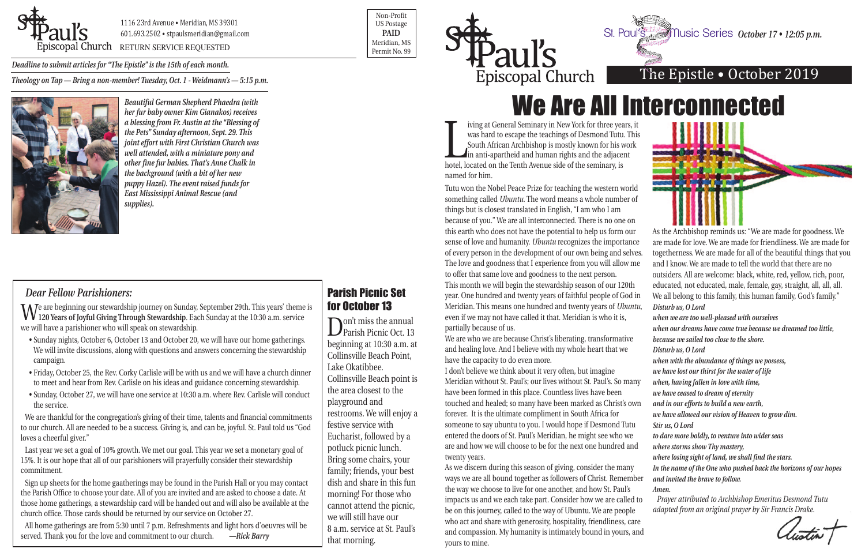

1116 23rd Avenue • Meridian, MS 39301 601.693.2502 • stpaulsmeridian@gmail.com

Permit No. 99

Non-Profit US Postage **PAID** Meridian, MS



## The Epistle • October 2019

was hard to escape the teachings of Desmond Tutu<br>South African Archbishop is mostly known for his v<br>in anti-apartheid and human rights and the adjace<br>hotel, located on the Tenth Avenue side of the seminary, is in anti-apartheid and human rights and the adjacent named for him.

iving at General Seminary in New York for three years, it was hard to escape the teachings of Desmond Tutu. This South African Archbishop is mostly known for his work

Tutu won the Nobel Peace Prize for teaching the western world something called *Ubuntu*. The word means a whole number of things but is closest translated in English, "I am who I am because of you." We are all interconnected. There is no one on this earth who does not have the potential to help us form our sense of love and humanity. *Ubuntu* recognizes the importance of every person in the development of our own being and selve The love and goodness that I experience from you will allow mo to offer that same love and goodness to the next person. This month we will begin the stewardship season of our 120th year. One hundred and twenty years of faithful people of God in Meridian. This means one hundred and twenty years of *Ubuntu*, even if we may not have called it that. Meridian is who it is, partially because of us.

We are who we are because Christ's liberating, transformative and healing love. And I believe with my whole heart that we have the capacity to do even more.

I don't believe we think about it very often, but imagine Meridian without St. Paul's; our lives without St. Paul's. So man have been formed in this place. Countless lives have been touched and healed; so many have been marked as Christ's own forever. It is the ultimate compliment in South Africa for someone to say ubuntu to you. I would hope if Desmond Tutu entered the doors of St. Paul's Meridian, he might see who we are and how we will choose to be for the next one hundred and twenty years.

As we discern during this season of giving, consider the many ways we are all bound together as followers of Christ. Rememb the way we choose to live for one another, and how St. Paul's impacts us and we each take part. Consider how we are called be on this journey, called to the way of Ubuntu. We are people who act and share with generosity, hospitality, friendliness, car and compassion. My humanity is intimately bound in yours, and yours to mine.

Don't miss the annual<br>Parish Picnic Oct. 13 beginning at 10:30 a.m. at Collinsville Beach Point, Lake Okatibbee. Collinsville Beach point is the area closest to the playground and restrooms. We will enjoy a festive service with Eucharist, followed by a potluck picnic lunch. Bring some chairs, your family; friends, your best dish and share in this fun morning! For those who cannot attend the picnic, we will still have our 8 a.m. service at St. Paul's that morning.

*Deadline to submit articles for "The Epistle" is the 15th of each month. Theology on Tap — Bring a non-member! Tuesday, Oct. 1 - Weidmann's — 5:15 p.m.*



|     | As the Archbishop reminds us: "We are made for goodness. We         |
|-----|---------------------------------------------------------------------|
| e   | are made for love. We are made for friendliness. We are made for    |
| es. | togetherness. We are made for all of the beautiful things that you  |
| e   | and I know. We are made to tell the world that there are no         |
|     | outsiders. All are welcome: black, white, red, yellow, rich, poor,  |
|     | educated, not educated, male, female, gay, straight, all, all, all. |
| n   | We all belong to this family, this human family, God's family."     |
| и,  | Disturb us, O Lord                                                  |
|     | when we are too well-pleased with ourselves                         |
|     | when our dreams have come true because we dreamed too little,       |
|     | because we sailed too close to the shore.                           |
|     | Disturb us, O Lord                                                  |
|     | when with the abundance of things we possess,                       |
|     | we have lost our thirst for the water of life                       |
| y   | when, having fallen in love with time,                              |
|     | we have ceased to dream of eternity                                 |
| 'n  | and in our efforts to build a new earth,                            |
|     | we have allowed our vision of Heaven to grow dim.                   |
|     | Stir us, O Lord                                                     |
|     | to dare more boldly, to venture into wider seas                     |
|     | where storms show Thy mastery,                                      |
|     | where losing sight of land, we shall find the stars.                |
|     | In the name of the One who pushed back the horizons of our hopes    |
| er  | and invited the brave to follow.                                    |
|     | Amen.                                                               |
| to  | Prayer attributed to Archbishop Emeritus Desmond Tutu               |
|     | adapted from an original prayer by Sir Francis Drake.               |
| .e  |                                                                     |
| nd  |                                                                     |
|     |                                                                     |

#### *Dear Fellow Parishioners:*

We are beginning our stewardship journey on Sunday, September 29th. This years' theme is **120 Years of Joyful Giving Through Stewardship**. Each Sunday at the 10:30 a.m. service we will have a parishioner who will speak on stewardship.

- Sunday nights, October 6, October 13 and October 20, we will have our home gatherings. We will invite discussions, along with questions and answers concerning the stewardship campaign.
- Friday, October 25, the Rev. Corky Carlisle will be with us and we will have a church dinner to meet and hear from Rev. Carlisle on his ideas and guidance concerning stewardship.
- Sunday, October 27, we will have one service at 10:30 a.m. where Rev. Carlisle will conduct the service.

We are thankful for the congregation's giving of their time, talents and financial commitments to our church. All are needed to be a success. Giving is, and can be, joyful. St. Paul told us "God loves a cheerful giver."

Last year we set a goal of 10% growth. We met our goal. This year we set a monetary goal of 15%. It is our hope that all of our parishioners will prayerfully consider their stewardship commitment.

Sign up sheets for the home gaatherings may be found in the Parish Hall or you may contact the Parish Office to choose your date. All of you are invited and are asked to choose a date. At those home gatherings, a stewardship card will be handed out and will also be available at the church office. Those cards should be returned by our service on October 27.

All home gatherings are from 5:30 until 7 p.m. Refreshments and light hors d'oeuvres will be served. Thank you for the love and commitment to our church. *—Rick Barry*

#### Parish Picnic Set for October 13

# We Are All Interconnected

*October 17 • 12:05 p.m.*

*Beautiful German Shepherd Phaedra (with her fur baby owner Kim Gianakos) receives a blessing from Fr. Austin at the "Blessing of the Pets" Sunday afternoon, Sept. 29. This joint effort with First Christian Church was well attended, with a miniature pony and other fine fur babies. That's Anne Chalk in the background (with a bit of her new puppy Hazel). The event raised funds for East Mississippi Animal Rescue (and supplies).*